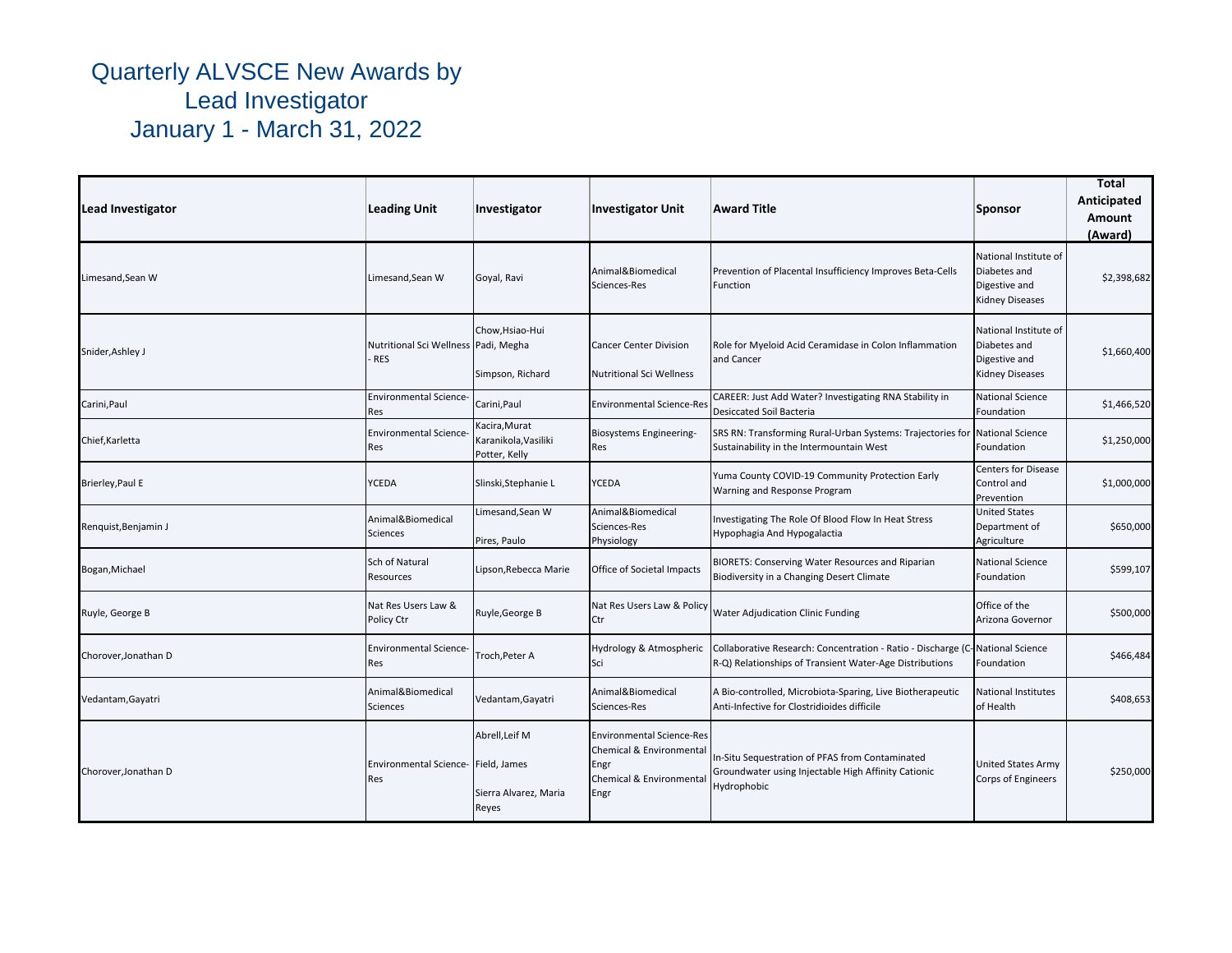| <b>Lead Investigator</b> | <b>Leading Unit</b>                                | Investigator                                           | <b>Investigator Unit</b>                                                                                 | Award Title                                                                                                                              | Sponsor                                                                          | Total<br>Anticipated<br>Amount<br>(Award) |
|--------------------------|----------------------------------------------------|--------------------------------------------------------|----------------------------------------------------------------------------------------------------------|------------------------------------------------------------------------------------------------------------------------------------------|----------------------------------------------------------------------------------|-------------------------------------------|
| Limesand, Sean W         | Limesand, Sean W                                   | Goyal, Ravi                                            | Animal&Biomedical<br>Sciences-Res                                                                        | Prevention of Placental Insufficiency Improves Beta-Cells<br>Function                                                                    | National Institute of<br>Diabetes and<br>Digestive and<br><b>Kidney Diseases</b> | \$2,398,682                               |
| Snider, Ashley J         | Nutritional Sci Wellness Padi, Megha<br><b>RES</b> | Chow, Hsiao-Hui<br>Simpson, Richard                    | <b>Cancer Center Division</b><br><b>Nutritional Sci Wellness</b>                                         | Role for Myeloid Acid Ceramidase in Colon Inflammation<br>and Cancer                                                                     | National Institute of<br>Diabetes and<br>Digestive and<br><b>Kidney Diseases</b> | \$1,660,400                               |
| Carini, Paul             | <b>Environmental Science</b><br>Res                | Carini, Paul                                           | <b>Environmental Science-Res</b>                                                                         | CAREER: Just Add Water? Investigating RNA Stability in<br><b>Desiccated Soil Bacteria</b>                                                | <b>National Science</b><br>Foundation                                            | \$1,466,520                               |
| Chief, Karletta          | <b>Environmental Science</b><br>Res                | Kacira, Murat<br>Karanikola, Vasiliki<br>Potter, Kelly | Biosystems Engineering-<br>Res                                                                           | SRS RN: Transforming Rural-Urban Systems: Trajectories for<br>Sustainability in the Intermountain West                                   | <b>National Science</b><br>Foundation                                            | \$1,250,000                               |
| Brierley, Paul E         | YCEDA                                              | Slinski, Stephanie L                                   | <b>YCEDA</b>                                                                                             | Yuma County COVID-19 Community Protection Early<br>Warning and Response Program                                                          | <b>Centers for Disease</b><br>Control and<br>Prevention                          | \$1,000,000                               |
| Renguist, Benjamin J     | Animal&Biomedical<br>Sciences                      | Limesand, Sean W<br>Pires, Paulo                       | Animal&Biomedical<br>Sciences-Res<br>Physiology                                                          | Investigating The Role Of Blood Flow In Heat Stress<br>Hypophagia And Hypogalactia                                                       | <b>United States</b><br>Department of<br>Agriculture                             | \$650,000                                 |
| Bogan, Michael           | Sch of Natural<br>Resources                        | Lipson, Rebecca Marie                                  | Office of Societal Impacts                                                                               | BIORETS: Conserving Water Resources and Riparian<br>Biodiversity in a Changing Desert Climate                                            | <b>National Science</b><br>Foundation                                            | \$599,107                                 |
| Ruyle, George B          | Nat Res Users Law &<br>Policy Ctr                  | Ruyle, George B                                        | Nat Res Users Law & Policy<br>Ctr                                                                        | Water Adjudication Clinic Funding                                                                                                        | Office of the<br>Arizona Governor                                                | \$500,000                                 |
| Chorover, Jonathan D     | <b>Environmental Science-</b><br>Res               | Troch, Peter A                                         | Hydrology & Atmospheric<br>Sci                                                                           | Collaborative Research: Concentration - Ratio - Discharge (C-National Science<br>R-Q) Relationships of Transient Water-Age Distributions | Foundation                                                                       | \$466,484                                 |
| Vedantam, Gayatri        | Animal&Biomedical<br>Sciences                      | Vedantam, Gayatri                                      | Animal&Biomedical<br>Sciences-Res                                                                        | A Bio-controlled, Microbiota-Sparing, Live Biotherapeutic<br>Anti-Infective for Clostridioides difficile                                 | <b>National Institutes</b><br>of Health                                          | \$408,653                                 |
| Chorover, Jonathan D     | Environmental Science-Field, James<br>Res          | Abrell.Leif M<br>Sierra Alvarez, Maria<br>Reyes        | <b>Environmental Science-Res</b><br>Chemical & Environmental<br>Engr<br>Chemical & Environmental<br>Engr | In-Situ Sequestration of PFAS from Contaminated<br>Groundwater using Injectable High Affinity Cationic<br>Hydrophobic                    | <b>United States Army</b><br>Corps of Engineers                                  | \$250,000                                 |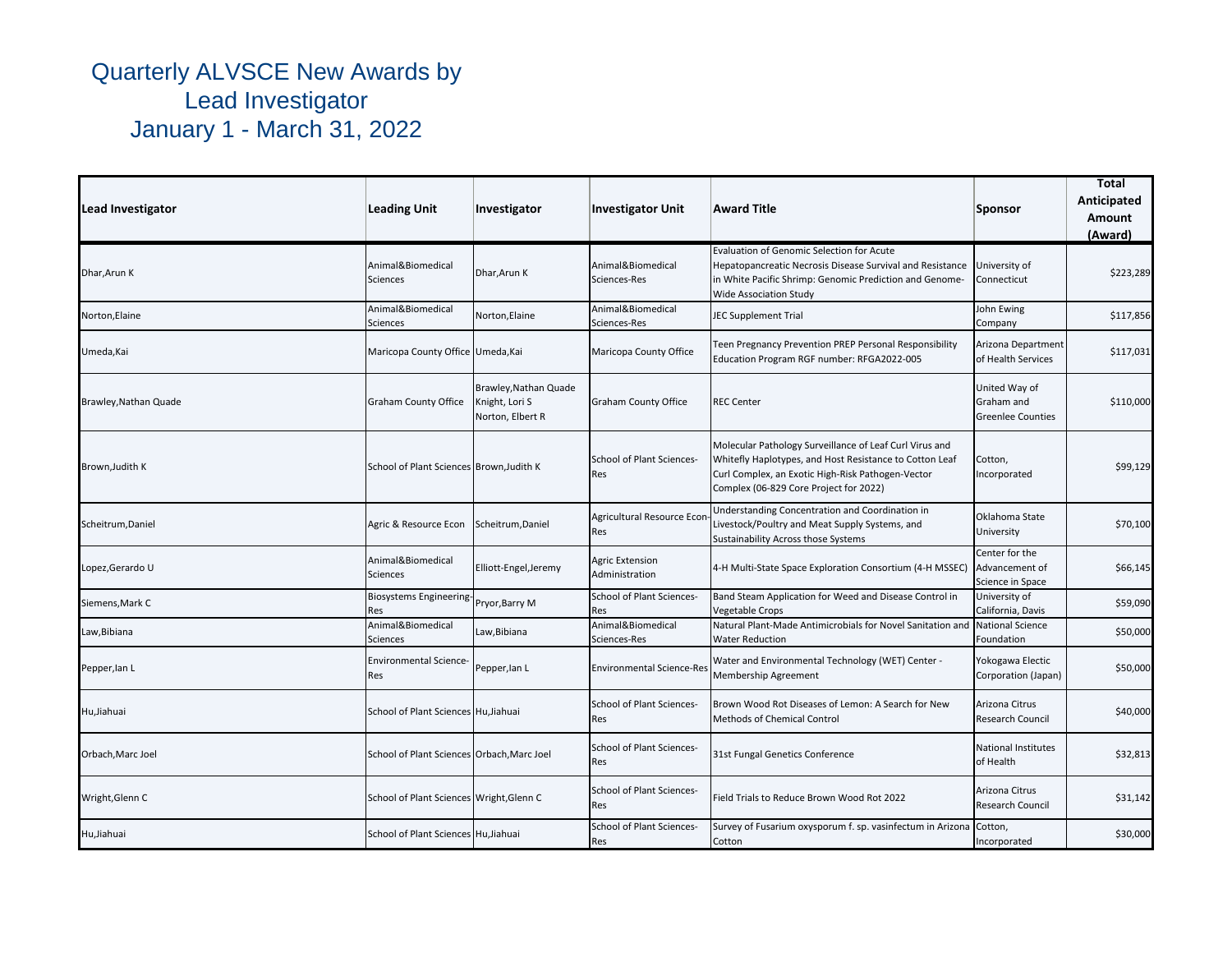| Lead Investigator     | <b>Leading Unit</b>                        | Investigator                                                | <b>Investigator Unit</b>                 | <b>Award Title</b>                                                                                                                                                                                                | Sponsor                                                 | Total<br>Anticipated<br>Amount<br>(Award) |
|-----------------------|--------------------------------------------|-------------------------------------------------------------|------------------------------------------|-------------------------------------------------------------------------------------------------------------------------------------------------------------------------------------------------------------------|---------------------------------------------------------|-------------------------------------------|
| Dhar, Arun K          | Animal&Biomedical<br><b>Sciences</b>       | Dhar, Arun K                                                | Animal&Biomedical<br>Sciences-Res        | Evaluation of Genomic Selection for Acute<br>Hepatopancreatic Necrosis Disease Survival and Resistance<br>in White Pacific Shrimp: Genomic Prediction and Genome-<br><b>Wide Association Study</b>                | University of<br>Connecticut                            | \$223,289                                 |
| Norton, Elaine        | Animal&Biomedical<br><b>Sciences</b>       | Norton, Elaine                                              | Animal&Biomedical<br>Sciences-Res        | <b>JEC Supplement Trial</b>                                                                                                                                                                                       | John Ewing<br>Company                                   | \$117,856                                 |
| Umeda, Kai            | Maricopa County Office Umeda, Kai          |                                                             | Maricopa County Office                   | Teen Pregnancy Prevention PREP Personal Responsibility<br>Education Program RGF number: RFGA2022-005                                                                                                              | Arizona Department<br>of Health Services                | \$117,031                                 |
| Brawley, Nathan Quade | <b>Graham County Office</b>                | Brawley, Nathan Quade<br>Knight, Lori S<br>Norton, Elbert R | <b>Graham County Office</b>              | <b>REC Center</b>                                                                                                                                                                                                 | United Way of<br>Graham and<br><b>Greenlee Counties</b> | \$110,000                                 |
| Brown, Judith K       | School of Plant Sciences Brown, Judith K   |                                                             | <b>School of Plant Sciences-</b><br>Res  | Molecular Pathology Surveillance of Leaf Curl Virus and<br>Whitefly Haplotypes, and Host Resistance to Cotton Leaf<br>Curl Complex, an Exotic High-Risk Pathogen-Vector<br>Complex (06-829 Core Project for 2022) | Cotton,<br>Incorporated                                 | \$99,129                                  |
| Scheitrum, Daniel     | Agric & Resource Econ                      | Scheitrum, Daniel                                           | Agricultural Resource Econ<br>Res        | Understanding Concentration and Coordination in<br>Livestock/Poultry and Meat Supply Systems, and<br>Sustainability Across those Systems                                                                          | Oklahoma State<br>University                            | \$70,100                                  |
| Lopez, Gerardo U      | Animal&Biomedical<br>Sciences              | Elliott-Engel, Jeremy                                       | <b>Agric Extension</b><br>Administration | 4-H Multi-State Space Exploration Consortium (4-H MSSEC)                                                                                                                                                          | Center for the<br>Advancement of<br>Science in Space    | \$66,145                                  |
| Siemens, Mark C       | Biosystems Engineering-<br><b>Res</b>      | Pryor, Barry M                                              | School of Plant Sciences-<br><b>Res</b>  | Band Steam Application for Weed and Disease Control in<br><b>Vegetable Crops</b>                                                                                                                                  | University of<br>California, Davis                      | \$59,090                                  |
| Law,Bibiana           | Animal&Biomedical<br><b>Sciences</b>       | Law,Bibiana                                                 | Animal&Biomedical<br>Sciences-Res        | Natural Plant-Made Antimicrobials for Novel Sanitation and<br><b>Water Reduction</b>                                                                                                                              | <b>National Science</b><br>Foundation                   | \$50,000                                  |
| Pepper, lan L         | <b>Environmental Science-</b><br>Res       | Pepper, lan L                                               | <b>Environmental Science-Res</b>         | Water and Environmental Technology (WET) Center -<br>Membership Agreement                                                                                                                                         | Yokogawa Electic<br>Corporation (Japan)                 | \$50,000                                  |
| Hu, Jiahuai           | School of Plant Sciences Hu, Jiahuai       |                                                             | School of Plant Sciences-<br>Res         | Brown Wood Rot Diseases of Lemon: A Search for New<br><b>Methods of Chemical Control</b>                                                                                                                          | Arizona Citrus<br>Research Council                      | \$40,000                                  |
| Orbach, Marc Joel     | School of Plant Sciences Orbach, Marc Joel |                                                             | School of Plant Sciences-<br>Res         | 31st Fungal Genetics Conference                                                                                                                                                                                   | <b>National Institutes</b><br>of Health                 | \$32,813                                  |
| Wright, Glenn C       | School of Plant Sciences Wright, Glenn C   |                                                             | School of Plant Sciences-<br>Res         | Field Trials to Reduce Brown Wood Rot 2022                                                                                                                                                                        | Arizona Citrus<br>Research Council                      | \$31,142                                  |
| Hu, Jiahuai           | School of Plant Sciences Hu, Jiahuai       |                                                             | School of Plant Sciences-<br>Res         | Survey of Fusarium oxysporum f. sp. vasinfectum in Arizona<br>Cotton                                                                                                                                              | Cotton,<br>Incorporated                                 | \$30,000                                  |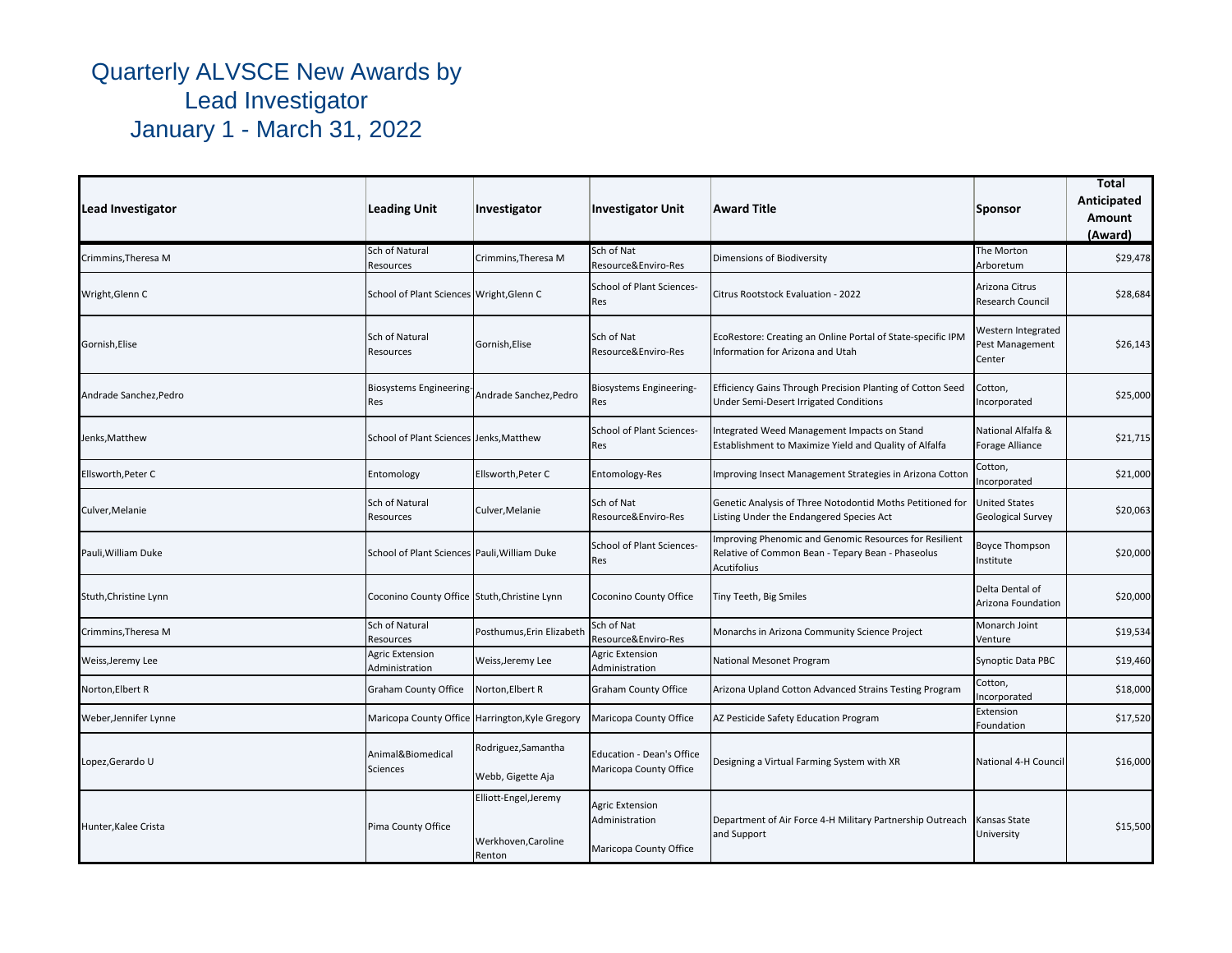| Lead Investigator      | <b>Leading Unit</b>                          | Investigator                                           | <b>Investigator Unit</b>                                           | <b>Award Title</b>                                                                                                                | Sponsor                                         | <b>Total</b><br>Anticipated<br>Amount<br>(Award) |
|------------------------|----------------------------------------------|--------------------------------------------------------|--------------------------------------------------------------------|-----------------------------------------------------------------------------------------------------------------------------------|-------------------------------------------------|--------------------------------------------------|
| Crimmins, Theresa M    | Sch of Natural<br>Resources                  | Crimmins, Theresa M                                    | Sch of Nat<br>Resource&Enviro-Res                                  | Dimensions of Biodiversity                                                                                                        | The Morton<br>Arboretum                         | \$29,478                                         |
| Wright, Glenn C        | School of Plant Sciences Wright, Glenn C     |                                                        | <b>School of Plant Sciences-</b><br><b>Res</b>                     | Citrus Rootstock Evaluation - 2022                                                                                                | Arizona Citrus<br>Research Council              | \$28,684                                         |
| Gornish, Elise         | Sch of Natural<br>Resources                  | Gornish, Elise                                         | Sch of Nat<br>Resource&Enviro-Res                                  | EcoRestore: Creating an Online Portal of State-specific IPM<br>Information for Arizona and Utah                                   | Western Integrated<br>Pest Management<br>Center | \$26,143                                         |
| Andrade Sanchez, Pedro | Biosystems Engineering-<br><b>Res</b>        | Andrade Sanchez.Pedro                                  | Biosystems Engineering-<br>Res                                     | Efficiency Gains Through Precision Planting of Cotton Seed<br>Under Semi-Desert Irrigated Conditions                              | Cotton,<br>ncorporated                          | \$25,000                                         |
| Jenks, Matthew         | School of Plant Sciences Jenks, Matthew      |                                                        | <b>School of Plant Sciences-</b><br>Res                            | Integrated Weed Management Impacts on Stand<br>Establishment to Maximize Yield and Quality of Alfalfa                             | National Alfalfa &<br>Forage Alliance           | \$21,715                                         |
| Ellsworth, Peter C     | Entomology                                   | Ellsworth, Peter C                                     | Entomology-Res                                                     | Improving Insect Management Strategies in Arizona Cotton                                                                          | Cotton,<br>ncorporated                          | \$21,000                                         |
| Culver, Melanie        | Sch of Natural<br>Resources                  | Culver, Melanie                                        | Sch of Nat<br>Resource&Enviro-Res                                  | Genetic Analysis of Three Notodontid Moths Petitioned for<br>Listing Under the Endangered Species Act                             | United States<br>Geological Survey              | \$20,063                                         |
| Pauli, William Duke    | School of Plant Sciences Pauli, William Duke |                                                        | <b>School of Plant Sciences-</b><br><b>Res</b>                     | Improving Phenomic and Genomic Resources for Resilient<br>Relative of Common Bean - Tepary Bean - Phaseolus<br><b>Acutifolius</b> | Boyce Thompson<br>nstitute                      | \$20,000                                         |
| Stuth, Christine Lynn  | Coconino County Office Stuth, Christine Lynn |                                                        | Coconino County Office                                             | Tiny Teeth, Big Smiles                                                                                                            | Delta Dental of<br>Arizona Foundation           | \$20,000                                         |
| Crimmins, Theresa M    | Sch of Natural<br>Resources                  | Posthumus, Erin Elizabeth                              | Sch of Nat<br>Resource&Enviro-Res                                  | Monarchs in Arizona Community Science Project                                                                                     | Monarch Joint<br>Venture                        | \$19,534                                         |
| Weiss, Jeremy Lee      | <b>Agric Extension</b><br>Administration     | Weiss, Jeremy Lee                                      | <b>Agric Extension</b><br>Administration                           | National Mesonet Program                                                                                                          | Synoptic Data PBC                               | \$19,460                                         |
| Norton, Elbert R       | <b>Graham County Office</b>                  | Norton, Elbert R                                       | Graham County Office                                               | Arizona Upland Cotton Advanced Strains Testing Program                                                                            | Cotton,<br>ncorporated                          | \$18,000                                         |
| Weber,Jennifer Lynne   |                                              | Maricopa County Office Harrington, Kyle Gregory        | Maricopa County Office                                             | AZ Pesticide Safety Education Program                                                                                             | Extension<br>Foundation                         | \$17,520                                         |
| Lopez, Gerardo U       | Animal&Biomedical<br><b>Sciences</b>         | Rodriguez, Samantha<br>Webb, Gigette Aja               | <b>Education - Dean's Office</b><br>Maricopa County Office         | Designing a Virtual Farming System with XR                                                                                        | National 4-H Council                            | \$16,000                                         |
| Hunter, Kalee Crista   | Pima County Office                           | Elliott-Engel, Jeremy<br>Werkhoven, Caroline<br>Renton | <b>Agric Extension</b><br>Administration<br>Maricopa County Office | Department of Air Force 4-H Military Partnership Outreach<br>and Support                                                          | Kansas State<br><b>Jniversity</b>               | \$15,500                                         |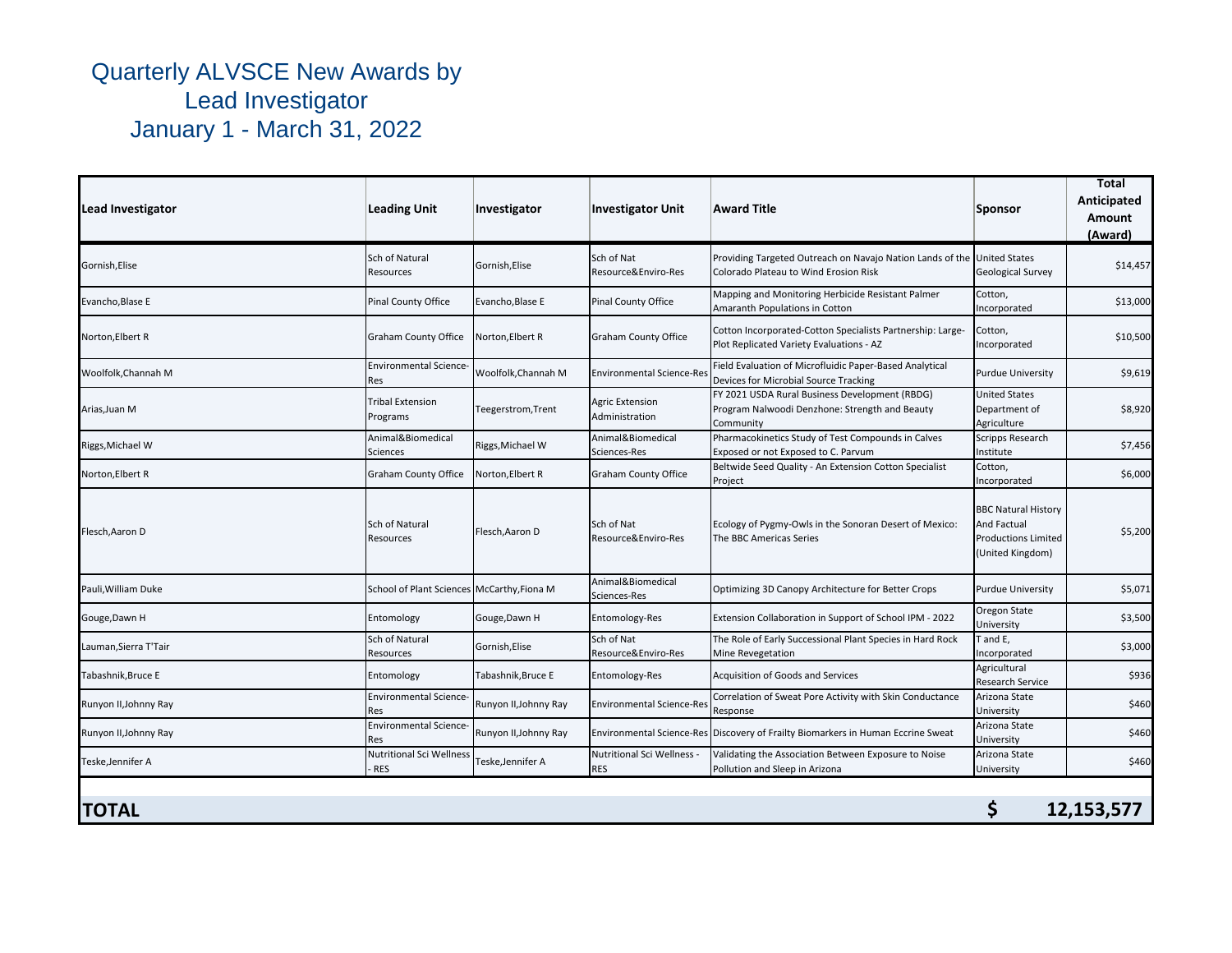| Lead Investigator     | <b>Leading Unit</b>                         | Investigator          | <b>Investigator Unit</b>                 | Award Title                                                                                                   | <b>Sponsor</b>                                                                              | Total<br>Anticipated<br>Amount<br>(Award) |
|-----------------------|---------------------------------------------|-----------------------|------------------------------------------|---------------------------------------------------------------------------------------------------------------|---------------------------------------------------------------------------------------------|-------------------------------------------|
| Gornish, Elise        | Sch of Natural<br>Resources                 | Gornish, Elise        | Sch of Nat<br>Resource&Enviro-Res        | Providing Targeted Outreach on Navajo Nation Lands of the<br>Colorado Plateau to Wind Erosion Risk            | <b>United States</b><br><b>Geological Survey</b>                                            | \$14,457                                  |
| Evancho, Blase E      | <b>Pinal County Office</b>                  | Evancho, Blase E      | Pinal County Office                      | Mapping and Monitoring Herbicide Resistant Palmer<br>Amaranth Populations in Cotton                           | Cotton,<br>Incorporated                                                                     | \$13,000                                  |
| Norton, Elbert R      | <b>Graham County Office</b>                 | Norton, Elbert R      | <b>Graham County Office</b>              | Cotton Incorporated-Cotton Specialists Partnership: Large-<br>Plot Replicated Variety Evaluations - AZ        | Cotton,<br>Incorporated                                                                     | \$10,500                                  |
| Woolfolk, Channah M   | <b>Environmental Science-</b><br>Res        | Woolfolk, Channah M   | <b>Environmental Science-Res</b>         | Field Evaluation of Microfluidic Paper-Based Analytical<br>Devices for Microbial Source Tracking              | <b>Purdue University</b>                                                                    | \$9,619                                   |
| Arias, Juan M         | <b>Tribal Extension</b><br>Programs         | Teegerstrom, Trent    | <b>Agric Extension</b><br>Administration | FY 2021 USDA Rural Business Development (RBDG)<br>Program Nalwoodi Denzhone: Strength and Beauty<br>Community | <b>United States</b><br>Department of<br>Agriculture                                        | \$8,920                                   |
| Riggs, Michael W      | Animal&Biomedical<br>Sciences               | Riggs, Michael W      | Animal&Biomedical<br>Sciences-Res        | Pharmacokinetics Study of Test Compounds in Calves<br>Exposed or not Exposed to C. Parvum                     | Scripps Research<br>Institute                                                               | \$7,456                                   |
| Norton, Elbert R      | Graham County Office                        | Norton, Elbert R      | <b>Graham County Office</b>              | Beltwide Seed Quality - An Extension Cotton Specialist<br>Project                                             | Cotton,<br>Incorporated                                                                     | \$6,000                                   |
| Flesch, Aaron D       | Sch of Natural<br>Resources                 | Flesch, Aaron D       | Sch of Nat<br>Resource&Enviro-Res        | Ecology of Pygmy-Owls in the Sonoran Desert of Mexico:<br>The BBC Americas Series                             | <b>BBC Natural History</b><br>And Factual<br><b>Productions Limited</b><br>(United Kingdom) | \$5,200                                   |
| Pauli, William Duke   | School of Plant Sciences McCarthy, Fiona M  |                       | Animal&Biomedical<br>Sciences-Res        | Optimizing 3D Canopy Architecture for Better Crops                                                            | Purdue University                                                                           | \$5,071                                   |
| Gouge, Dawn H         | Entomology                                  | Gouge, Dawn H         | Entomology-Res                           | Extension Collaboration in Support of School IPM - 2022                                                       | Oregon State<br>University                                                                  | \$3,500                                   |
| Lauman, Sierra T'Tair | Sch of Natural<br>Resources                 | Gornish, Elise        | Sch of Nat<br>Resource&Enviro-Res        | The Role of Early Successional Plant Species in Hard Rock<br>Mine Revegetation                                | T and E,<br>ncorporated                                                                     | \$3,000                                   |
| Tabashnik, Bruce E    | Entomology                                  | Tabashnik,Bruce E     | Entomology-Res                           | Acquisition of Goods and Services                                                                             | Agricultural<br>Research Service                                                            | \$936                                     |
| Runyon II, Johnny Ray | <b>Environmental Science-</b><br>Res        | Runyon II, Johnny Ray | <b>Environmental Science-Res</b>         | Correlation of Sweat Pore Activity with Skin Conductance<br>Response                                          | Arizona State<br>University                                                                 | \$460                                     |
| Runyon II, Johnny Ray | <b>Environmental Science-</b><br><b>Res</b> | Runyon II, Johnny Ray |                                          | Environmental Science-Res Discovery of Frailty Biomarkers in Human Eccrine Sweat                              | Arizona State<br>University                                                                 | \$460                                     |
| Teske, Jennifer A     | Nutritional Sci Wellness<br><b>RES</b>      | Teske,Jennifer A      | Nutritional Sci Wellness -<br><b>RES</b> | Validating the Association Between Exposure to Noise<br>Pollution and Sleep in Arizona                        | Arizona State<br>University                                                                 | \$460                                     |
| <b>TOTAL</b>          |                                             |                       |                                          |                                                                                                               | \$                                                                                          | 12,153,577                                |